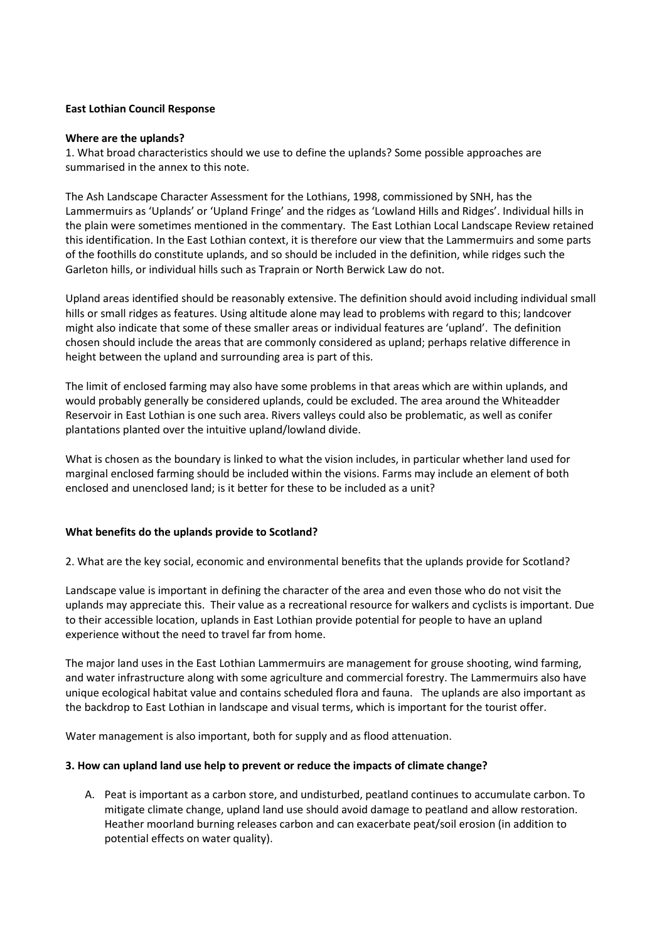## **East Lothian Council Response**

#### **Where are the uplands?**

1. What broad characteristics should we use to define the uplands? Some possible approaches are summarised in the annex to this note.

The Ash Landscape Character Assessment for the Lothians, 1998, commissioned by SNH, has the Lammermuirs as 'Uplands' or 'Upland Fringe' and the ridges as 'Lowland Hills and Ridges'. Individual hills in the plain were sometimes mentioned in the commentary. The East Lothian Local Landscape Review retained this identification. In the East Lothian context, it is therefore our view that the Lammermuirs and some parts of the foothills do constitute uplands, and so should be included in the definition, while ridges such the Garleton hills, or individual hills such as Traprain or North Berwick Law do not.

Upland areas identified should be reasonably extensive. The definition should avoid including individual small hills or small ridges as features. Using altitude alone may lead to problems with regard to this; landcover might also indicate that some of these smaller areas or individual features are 'upland'. The definition chosen should include the areas that are commonly considered as upland; perhaps relative difference in height between the upland and surrounding area is part of this.

The limit of enclosed farming may also have some problems in that areas which are within uplands, and would probably generally be considered uplands, could be excluded. The area around the Whiteadder Reservoir in East Lothian is one such area. Rivers valleys could also be problematic, as well as conifer plantations planted over the intuitive upland/lowland divide.

What is chosen as the boundary is linked to what the vision includes, in particular whether land used for marginal enclosed farming should be included within the visions. Farms may include an element of both enclosed and unenclosed land; is it better for these to be included as a unit?

## **What benefits do the uplands provide to Scotland?**

2. What are the key social, economic and environmental benefits that the uplands provide for Scotland?

Landscape value is important in defining the character of the area and even those who do not visit the uplands may appreciate this. Their value as a recreational resource for walkers and cyclists is important. Due to their accessible location, uplands in East Lothian provide potential for people to have an upland experience without the need to travel far from home.

The major land uses in the East Lothian Lammermuirs are management for grouse shooting, wind farming, and water infrastructure along with some agriculture and commercial forestry. The Lammermuirs also have unique ecological habitat value and contains scheduled flora and fauna. The uplands are also important as the backdrop to East Lothian in landscape and visual terms, which is important for the tourist offer.

Water management is also important, both for supply and as flood attenuation.

## **3. How can upland land use help to prevent or reduce the impacts of climate change?**

A. Peat is important as a carbon store, and undisturbed, peatland continues to accumulate carbon. To mitigate climate change, upland land use should avoid damage to peatland and allow restoration. Heather moorland burning releases carbon and can exacerbate peat/soil erosion (in addition to potential effects on water quality).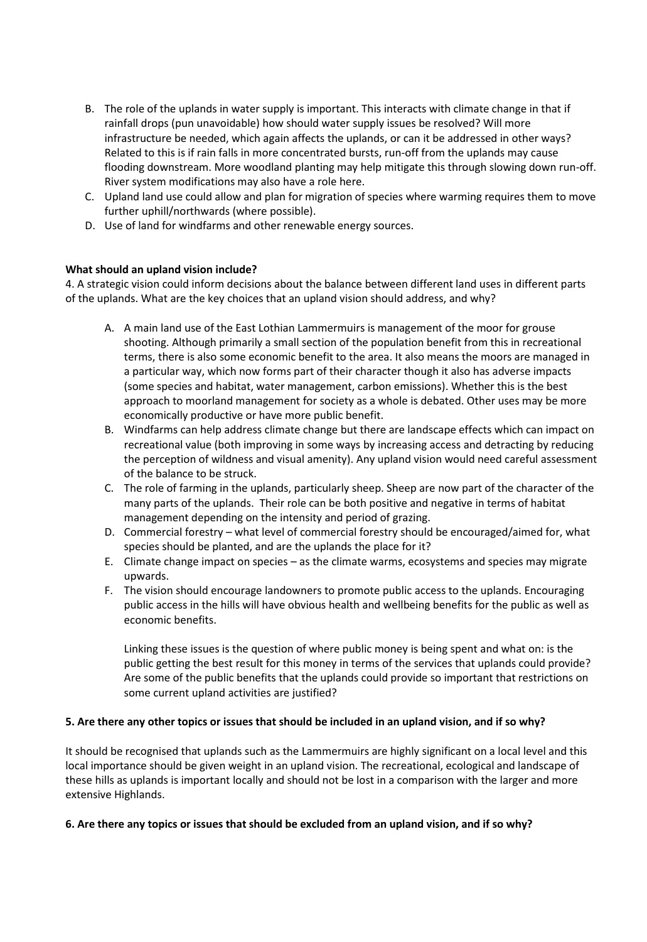- B. The role of the uplands in water supply is important. This interacts with climate change in that if rainfall drops (pun unavoidable) how should water supply issues be resolved? Will more infrastructure be needed, which again affects the uplands, or can it be addressed in other ways? Related to this is if rain falls in more concentrated bursts, run-off from the uplands may cause flooding downstream. More woodland planting may help mitigate this through slowing down run-off. River system modifications may also have a role here.
- C. Upland land use could allow and plan for migration of species where warming requires them to move further uphill/northwards (where possible).
- D. Use of land for windfarms and other renewable energy sources.

# **What should an upland vision include?**

4. A strategic vision could inform decisions about the balance between different land uses in different parts of the uplands. What are the key choices that an upland vision should address, and why?

- A. A main land use of the East Lothian Lammermuirs is management of the moor for grouse shooting. Although primarily a small section of the population benefit from this in recreational terms, there is also some economic benefit to the area. It also means the moors are managed in a particular way, which now forms part of their character though it also has adverse impacts (some species and habitat, water management, carbon emissions). Whether this is the best approach to moorland management for society as a whole is debated. Other uses may be more economically productive or have more public benefit.
- B. Windfarms can help address climate change but there are landscape effects which can impact on recreational value (both improving in some ways by increasing access and detracting by reducing the perception of wildness and visual amenity). Any upland vision would need careful assessment of the balance to be struck.
- C. The role of farming in the uplands, particularly sheep. Sheep are now part of the character of the many parts of the uplands. Their role can be both positive and negative in terms of habitat management depending on the intensity and period of grazing.
- D. Commercial forestry what level of commercial forestry should be encouraged/aimed for, what species should be planted, and are the uplands the place for it?
- E. Climate change impact on species as the climate warms, ecosystems and species may migrate upwards.
- F. The vision should encourage landowners to promote public access to the uplands. Encouraging public access in the hills will have obvious health and wellbeing benefits for the public as well as economic benefits.

Linking these issues is the question of where public money is being spent and what on: is the public getting the best result for this money in terms of the services that uplands could provide? Are some of the public benefits that the uplands could provide so important that restrictions on some current upland activities are justified?

## **5. Are there any other topics or issues that should be included in an upland vision, and if so why?**

It should be recognised that uplands such as the Lammermuirs are highly significant on a local level and this local importance should be given weight in an upland vision. The recreational, ecological and landscape of these hills as uplands is important locally and should not be lost in a comparison with the larger and more extensive Highlands.

## **6. Are there any topics or issues that should be excluded from an upland vision, and if so why?**